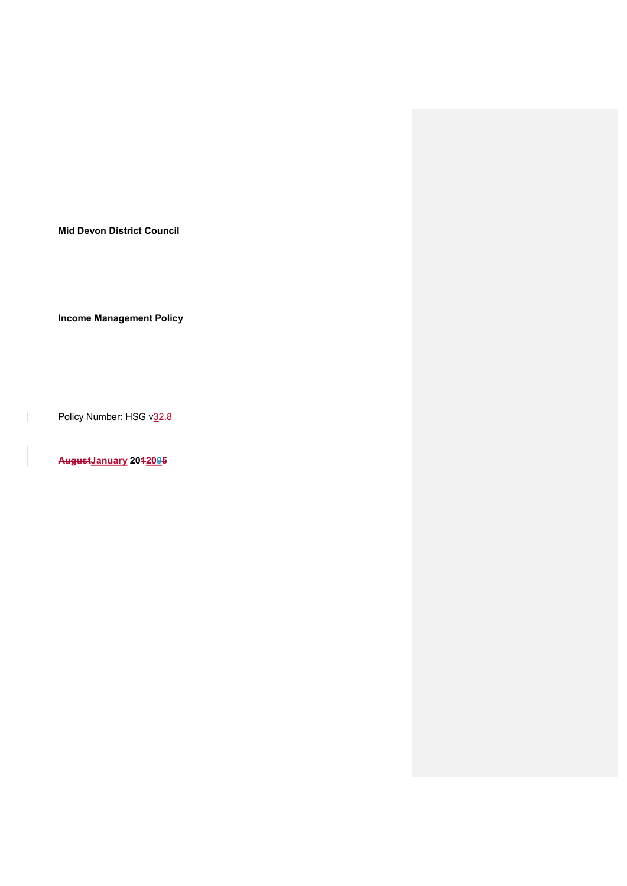Mid Devon District Council

Income Management Policy

Policy Number: HSG v32.8

 $\overline{\phantom{a}}$ 

AugustJanuary 2042095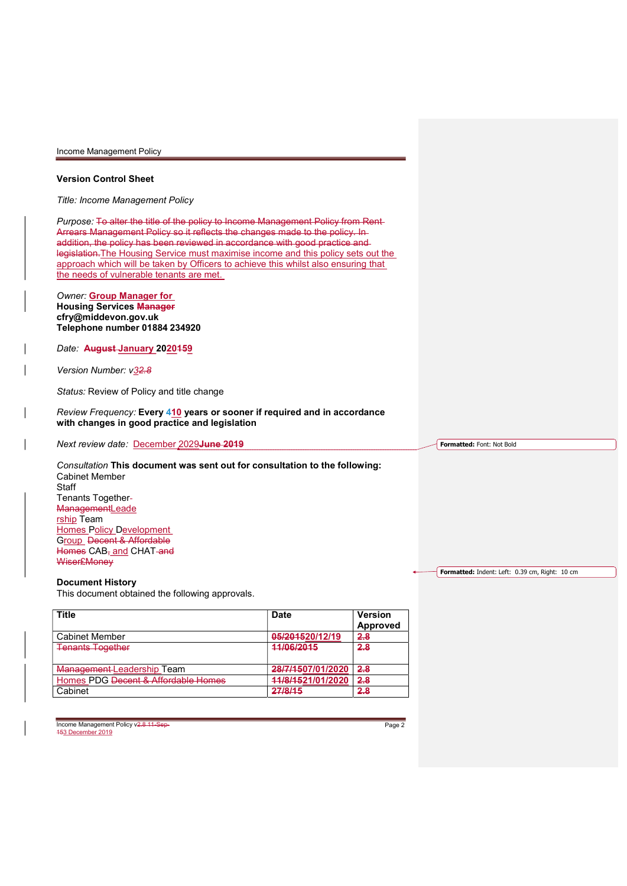### Version Control Sheet

Title: Income Management Policy

Purpose: To alter the title of the policy to Income Management Policy from Rent Arrears Management Policy so it reflects the changes made to the policy. In addition, the policy has been reviewed in accordance with good practice and legislation.The Housing Service must maximise income and this policy sets out the approach which will be taken by Officers to achieve this whilst also ensuring that the needs of vulnerable tenants are met.

Owner: Group Manager for Housing Services Manager cfry@middevon.gov.uk Telephone number 01884 234920

Date: August January 2020159

Version Number: v32.8

Status: Review of Policy and title change

Review Frequency: Every 410 years or sooner if required and in accordance with changes in good practice and legislation

Next review date: December 2029June 2019

Consultation This document was sent out for consultation to the following: Cabinet Member **Staff** Tenants Together ManagementLeade rship Team Homes Policy Development Group Decent & Affordable Homes CAB, and CHAT-and Wiser£Money

### Document History

This document obtained the following approvals.

| <b>Title</b>                        | Date              | <b>Version</b> |
|-------------------------------------|-------------------|----------------|
|                                     |                   | Approved       |
| <b>Cabinet Member</b>               | 05/201520/12/19   | 2.8            |
| <b>Tenants Together</b>             | 11/06/2015        | 2.8            |
| Management-Leadership Team          | 28/7/1507/01/2020 | 2.8            |
| Homes PDG Decent & Affordable Homes | 44/8/1521/01/2020 | 2.8            |
| Cabinet                             | 27/8/15           | 2.8            |

Income Management Policy v2.8 11-Sep-

Page 2

Formatted: Font: Not Bold

Formatted: Indent: Left: 0.39 cm, Right: 10 cm

153 December 2019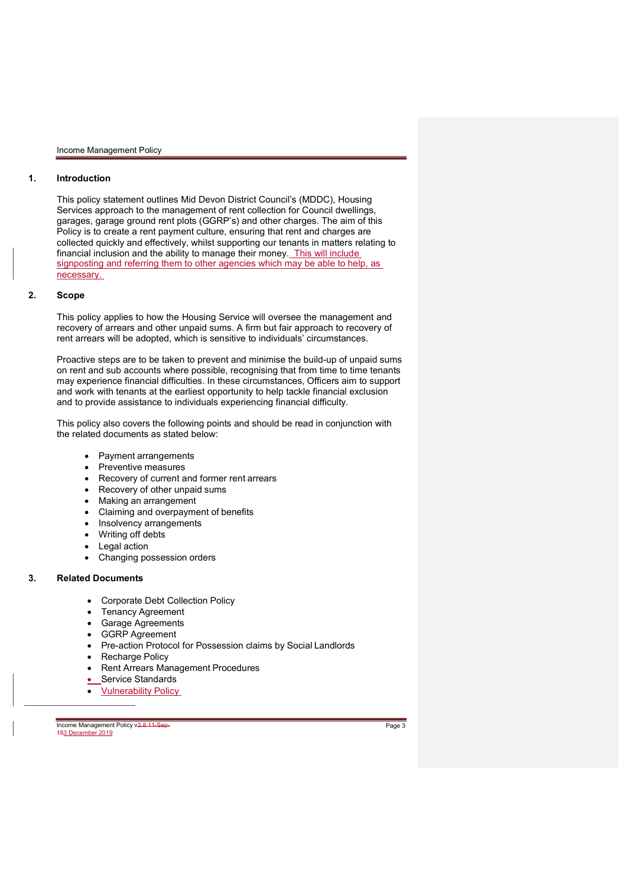## 1. Introduction

This policy statement outlines Mid Devon District Council's (MDDC), Housing Services approach to the management of rent collection for Council dwellings, garages, garage ground rent plots (GGRP's) and other charges. The aim of this Policy is to create a rent payment culture, ensuring that rent and charges are collected quickly and effectively, whilst supporting our tenants in matters relating to financial inclusion and the ability to manage their money. This will include signposting and referring them to other agencies which may be able to help, as necessary.

## 2. Scope

This policy applies to how the Housing Service will oversee the management and recovery of arrears and other unpaid sums. A firm but fair approach to recovery of rent arrears will be adopted, which is sensitive to individuals' circumstances.

Proactive steps are to be taken to prevent and minimise the build-up of unpaid sums on rent and sub accounts where possible, recognising that from time to time tenants may experience financial difficulties. In these circumstances, Officers aim to support and work with tenants at the earliest opportunity to help tackle financial exclusion and to provide assistance to individuals experiencing financial difficulty.

This policy also covers the following points and should be read in conjunction with the related documents as stated below:

- Payment arrangements
- Preventive measures
- Recovery of current and former rent arrears
- Recovery of other unpaid sums
- Making an arrangement
- Claiming and overpayment of benefits
- **Insolvency arrangements**
- Writing off debts
- **Legal action**
- Changing possession orders

### 3. Related Documents

 $\overline{a}$ 

- Corporate Debt Collection Policy
- Tenancy Agreement
- Garage Agreements
- GGRP Agreement
- Pre-action Protocol for Possession claims by Social Landlords
- Recharge Policy
- Rent Arrears Management Procedures
- Service Standards
- Vulnerability Policy

Income Management Policy v<del>2.8 11-Sep-</del><br><del>15</del>3 December 2019

Page 3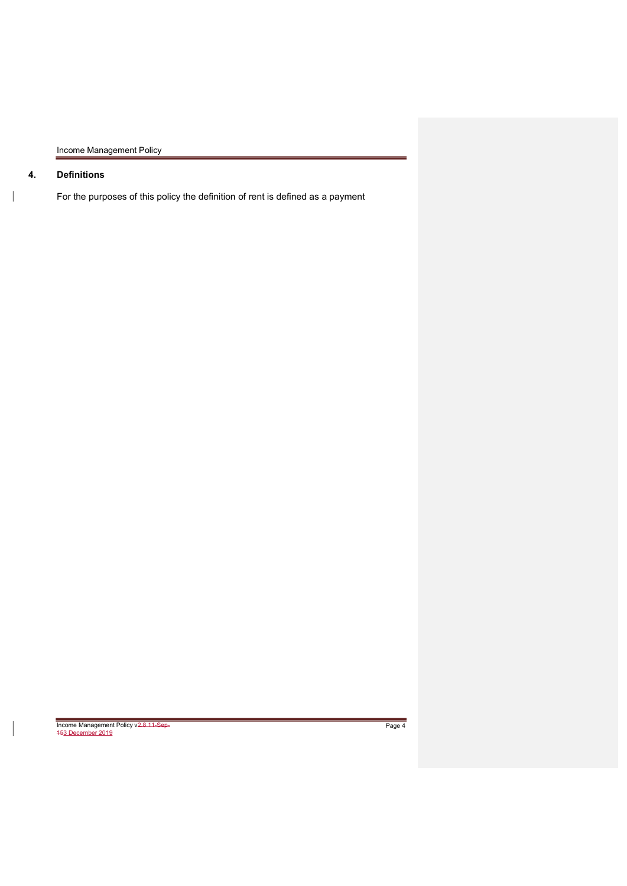# 4. Definitions

 $\overline{\phantom{a}}$ 

For the purposes of this policy the definition of rent is defined as a payment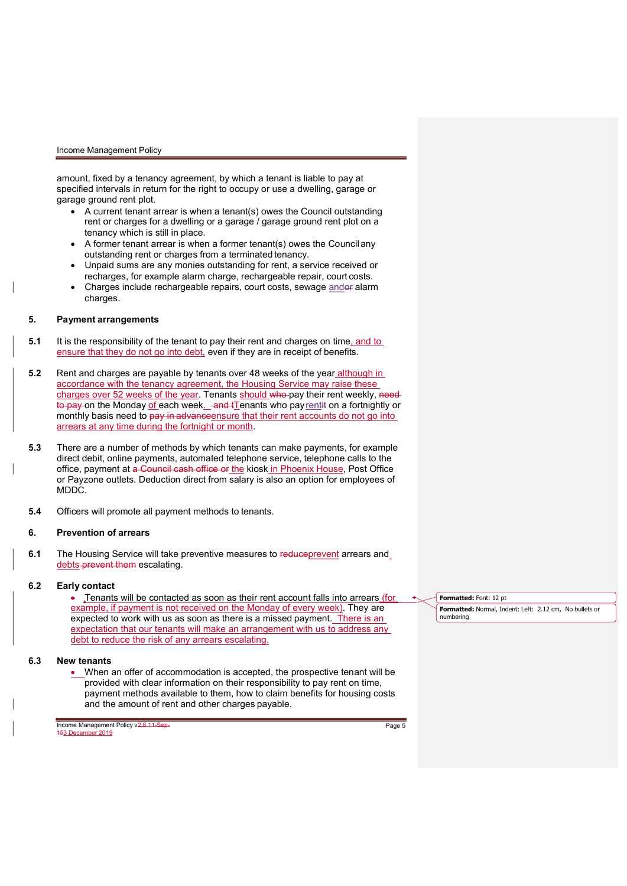amount, fixed by a tenancy agreement, by which a tenant is liable to pay at specified intervals in return for the right to occupy or use a dwelling, garage or garage ground rent plot.

- A current tenant arrear is when a tenant(s) owes the Council outstanding rent or charges for a dwelling or a garage / garage ground rent plot on a tenancy which is still in place.
- A former tenant arrear is when a former tenant(s) owes the Council any outstanding rent or charges from a terminated tenancy.
- Unpaid sums are any monies outstanding for rent, a service received or recharges, for example alarm charge, rechargeable repair, court costs.
- Charges include rechargeable repairs, court costs, sewage andor alarm charges.

## 5. Payment arrangements

- **5.1** It is the responsibility of the tenant to pay their rent and charges on time, and to ensure that they do not go into debt, even if they are in receipt of benefits.
- 5.2 Rent and charges are payable by tenants over 48 weeks of the year although in accordance with the tenancy agreement, the Housing Service may raise these charges over 52 weeks of the year. Tenants should who pay their rent weekly, need to pay on the Monday of each week. and tTenants who pay rentit on a fortnightly or monthly basis need to pay in advance ensure that their rent accounts do not go into arrears at any time during the fortnight or month.
- 5.3 There are a number of methods by which tenants can make payments, for example direct debit, online payments, automated telephone service, telephone calls to the office, payment at a Council cash office or the kiosk in Phoenix House, Post Office or Payzone outlets. Deduction direct from salary is also an option for employees of MDDC.
- 5.4 Officers will promote all payment methods to tenants.

## 6. Prevention of arrears

6.1 The Housing Service will take preventive measures to reduceprevent arrears and debts-prevent them escalating.

### 6.2 Early contact

**.** Tenants will be contacted as soon as their rent account falls into arrears (for example, if payment is not received on the Monday of every week). They are expected to work with us as soon as there is a missed payment. There is an expectation that our tenants will make an arrangement with us to address any debt to reduce the risk of any arrears escalating.

## 6.3 New tenants

 When an offer of accommodation is accepted, the prospective tenant will be provided with clear information on their responsibility to pay rent on time, payment methods available to them, how to claim benefits for housing costs and the amount of rent and other charges payable.

Formatted: Font: 12 pt

Page 5

Formatted: Normal, Indent: Left: 2.12 cm, No bullets or numbering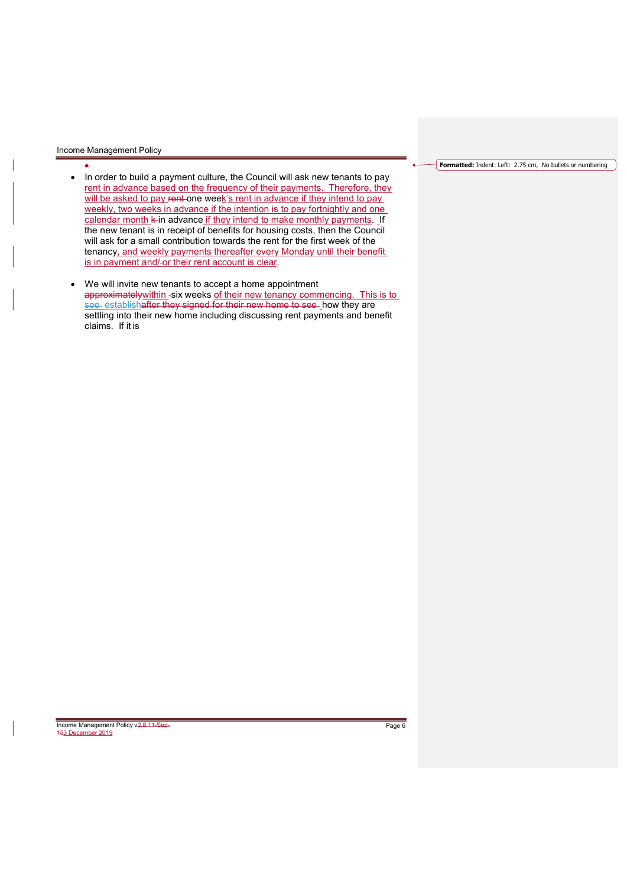- ۰ • In order to build a payment culture, the Council will ask new tenants to pay rent in advance based on the frequency of their payments. Therefore, they will be asked to pay rent one week's rent in advance if they intend to pay weekly, two weeks in advance if the intention is to pay fortnightly and one calendar month k in advance if they intend to make monthly payments. If the new tenant is in receipt of benefits for housing costs, then the Council will ask for a small contribution towards the rent for the first week of the tenancy, and weekly payments thereafter every Monday until their benefit is in payment and/-or their rent account is clear.
- We will invite new tenants to accept a home appointment approximately within - six weeks of their new tenancy commencing. This is to see establishafter they signed for their new home to see how they are settling into their new home including discussing rent payments and benefit claims. If it is

#### Formatted: Indent: Left: 2.75 cm, No bullets or numbering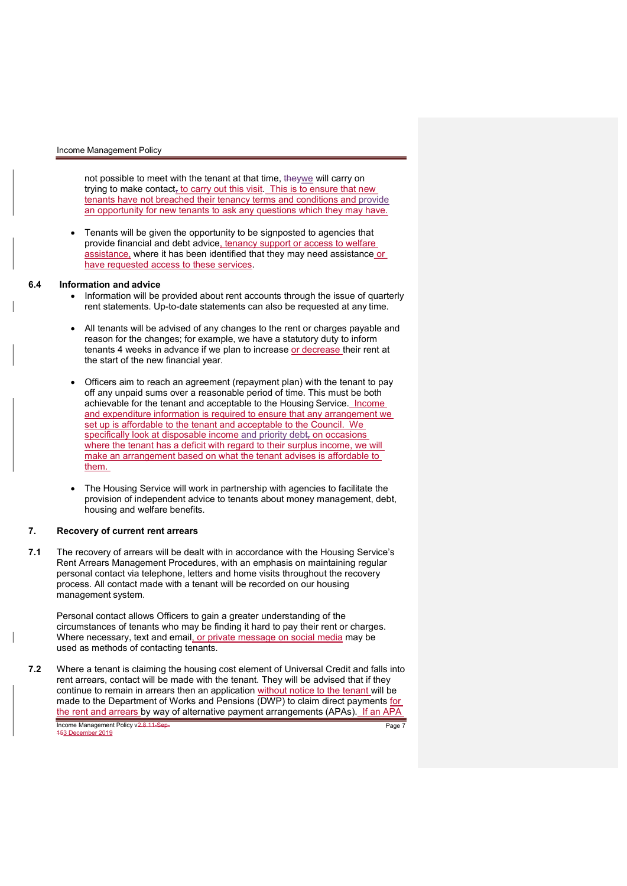not possible to meet with the tenant at that time, theywe will carry on trying to make contact, to carry out this visit. This is to ensure that new tenants have not breached their tenancy terms and conditions and provide an opportunity for new tenants to ask any questions which they may have.

 Tenants will be given the opportunity to be signposted to agencies that provide financial and debt advice, tenancy support or access to welfare assistance, where it has been identified that they may need assistance or have requested access to these services.

# 6.4 Information and advice

- Information will be provided about rent accounts through the issue of quarterly rent statements. Up-to-date statements can also be requested at any time.
- All tenants will be advised of any changes to the rent or charges payable and reason for the changes; for example, we have a statutory duty to inform tenants 4 weeks in advance if we plan to increase or decrease their rent at the start of the new financial year.
- Officers aim to reach an agreement (repayment plan) with the tenant to pay off any unpaid sums over a reasonable period of time. This must be both achievable for the tenant and acceptable to the Housing Service. Income and expenditure information is required to ensure that any arrangement we set up is affordable to the tenant and acceptable to the Council. We specifically look at disposable income and priority debt, on occasions where the tenant has a deficit with regard to their surplus income, we will make an arrangement based on what the tenant advises is affordable to them.
- The Housing Service will work in partnership with agencies to facilitate the provision of independent advice to tenants about money management, debt, housing and welfare benefits.

# 7. Recovery of current rent arrears

7.1 The recovery of arrears will be dealt with in accordance with the Housing Service's Rent Arrears Management Procedures, with an emphasis on maintaining regular personal contact via telephone, letters and home visits throughout the recovery process. All contact made with a tenant will be recorded on our housing management system.

Personal contact allows Officers to gain a greater understanding of the circumstances of tenants who may be finding it hard to pay their rent or charges. Where necessary, text and email, or private message on social media may be used as methods of contacting tenants.

Income Management Policy v<del>2.8 11-Sep-</del><br><del>15</del>3 December 2019 Page 7 7.2 Where a tenant is claiming the housing cost element of Universal Credit and falls into rent arrears, contact will be made with the tenant. They will be advised that if they continue to remain in arrears then an application without notice to the tenant will be made to the Department of Works and Pensions (DWP) to claim direct payments for the rent and arrears by way of alternative payment arrangements (APAs). If an APA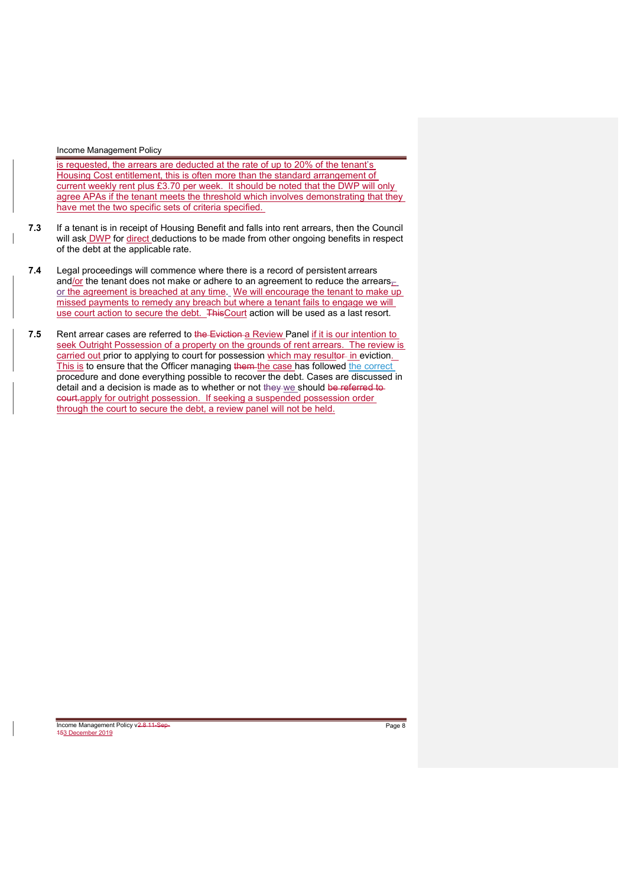is requested, the arrears are deducted at the rate of up to 20% of the tenant's Housing Cost entitlement, this is often more than the standard arrangement of current weekly rent plus £3.70 per week. It should be noted that the DWP will only agree APAs if the tenant meets the threshold which involves demonstrating that they have met the two specific sets of criteria specified.

- 7.3 If a tenant is in receipt of Housing Benefit and falls into rent arrears, then the Council will ask DWP for direct deductions to be made from other ongoing benefits in respect of the debt at the applicable rate.
- 7.4 Legal proceedings will commence where there is a record of persistent arrears and/or the tenant does not make or adhere to an agreement to reduce the arrears, or the agreement is breached at any time. We will encourage the tenant to make up missed payments to remedy any breach but where a tenant fails to engage we will use court action to secure the debt. ThisCourt action will be used as a last resort.
- 7.5 Rent arrear cases are referred to the Eviction a Review Panel if it is our intention to seek Outright Possession of a property on the grounds of rent arrears. The review is carried out prior to applying to court for possession which may resulter in eviction. This is to ensure that the Officer managing them the case has followed the correct procedure and done everything possible to recover the debt. Cases are discussed in detail and a decision is made as to whether or not they we should be referred to court.apply for outright possession. If seeking a suspended possession order through the court to secure the debt, a review panel will not be held.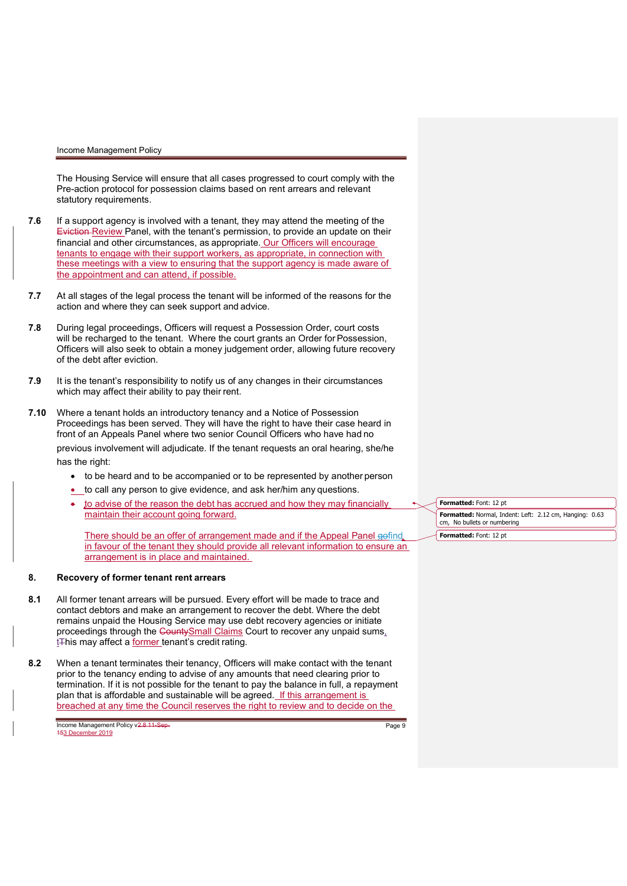The Housing Service will ensure that all cases progressed to court comply with the Pre-action protocol for possession claims based on rent arrears and relevant statutory requirements.

- 7.6 If a support agency is involved with a tenant, they may attend the meeting of the Eviction Review Panel, with the tenant's permission, to provide an update on their financial and other circumstances, as appropriate. Our Officers will encourage tenants to engage with their support workers, as appropriate, in connection with these meetings with a view to ensuring that the support agency is made aware of the appointment and can attend, if possible.
- 7.7 At all stages of the legal process the tenant will be informed of the reasons for the action and where they can seek support and advice.
- 7.8 During legal proceedings, Officers will request a Possession Order, court costs will be recharged to the tenant. Where the court grants an Order for Possession, Officers will also seek to obtain a money judgement order, allowing future recovery of the debt after eviction.
- 7.9 It is the tenant's responsibility to notify us of any changes in their circumstances which may affect their ability to pay their rent.
- 7.10 Where a tenant holds an introductory tenancy and a Notice of Possession Proceedings has been served. They will have the right to have their case heard in front of an Appeals Panel where two senior Council Officers who have had no previous involvement will adjudicate. If the tenant requests an oral hearing, she/he has the right:
	- to be heard and to be accompanied or to be represented by another person
	- **t** to call any person to give evidence, and ask her/him any questions.
	- to advise of the reason the debt has accrued and how they may financially maintain their account going forward.

There should be an offer of arrangement made and if the Appeal Panel gofind in favour of the tenant they should provide all relevant information to ensure an arrangement is in place and maintained.

# 8. Recovery of former tenant rent arrears

- 8.1 All former tenant arrears will be pursued. Every effort will be made to trace and contact debtors and make an arrangement to recover the debt. Where the debt remains unpaid the Housing Service may use debt recovery agencies or initiate proceedings through the CountySmall Claims Court to recover any unpaid sums, t<sub>This may affect a former</sub> tenant's credit rating.
- 8.2 When a tenant terminates their tenancy, Officers will make contact with the tenant prior to the tenancy ending to advise of any amounts that need clearing prior to termination. If it is not possible for the tenant to pay the balance in full, a repayment plan that is affordable and sustainable will be agreed. If this arrangement is breached at any time the Council reserves the right to review and to decide on the

Formatted: Font: 12 pt Formatted: Normal, Indent: Left: 2.12 cm, Hanging: 0.63 cm, No bullets or numbering Formatted: Font: 12 pt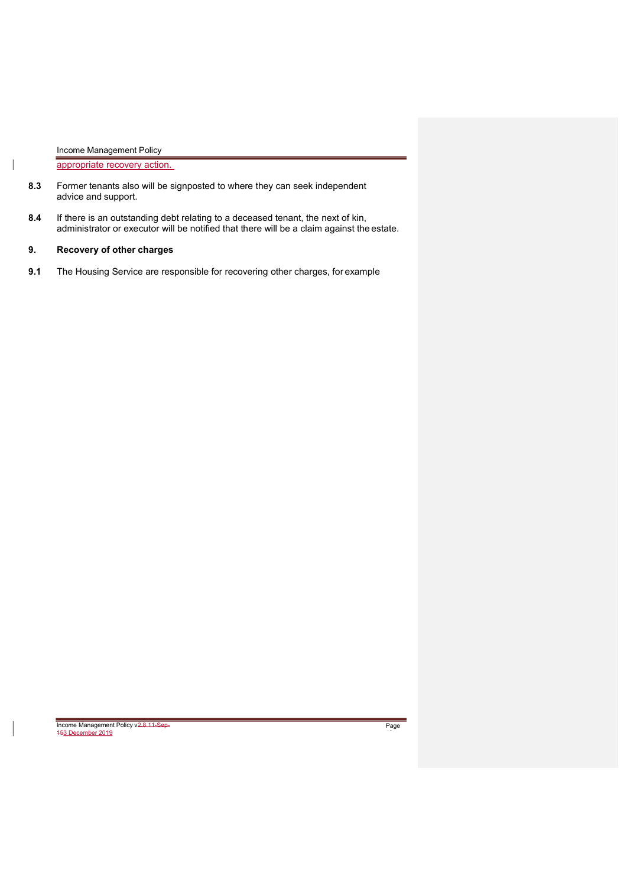appropriate recovery action.

- 8.3 Former tenants also will be signposted to where they can seek independent advice and support.
- 8.4 If there is an outstanding debt relating to a deceased tenant, the next of kin, administrator or executor will be notified that there will be a claim against the estate.

# 9. Recovery of other charges

9.1 The Housing Service are responsible for recovering other charges, for example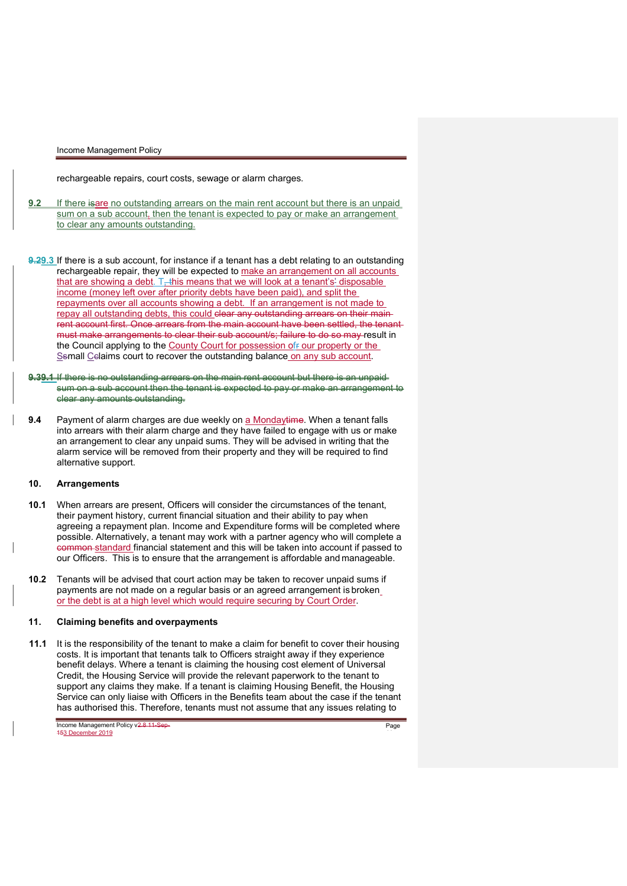rechargeable repairs, court costs, sewage or alarm charges.

- 9.2 If there is an outstanding arrears on the main rent account but there is an unpaid sum on a sub account, then the tenant is expected to pay or make an arrangement to clear any amounts outstanding.
- 9.29.3 If there is a sub account, for instance if a tenant has a debt relating to an outstanding rechargeable repair, they will be expected to make an arrangement on all accounts that are showing a debt.  $T_{\pm}$ this means that we will look at a tenant's' disposable income (money left over after priority debts have been paid), and split the repayments over all accounts showing a debt. If an arrangement is not made to repay all outstanding debts, this could clear any outstanding arrears on their main rent account first. Once arrears from the main account have been settled, the tenant must make arrangements to clear their sub account/s; failure to do so may result in the Council applying to the County Court for possession ofr our property or the Ssmall Cclaims court to recover the outstanding balance on any sub account.
- 9.39.1 If there is no outstanding arrears on the main rent account but there is an unpaidsum on a sub account then the tenant is expected to pay or make an arrangement to clear any amounts outstanding.
- 9.4 Payment of alarm charges are due weekly on a Mondaytime. When a tenant falls into arrears with their alarm charge and they have failed to engage with us or make an arrangement to clear any unpaid sums. They will be advised in writing that the alarm service will be removed from their property and they will be required to find alternative support.

# 10. Arrangements

- 10.1 When arrears are present, Officers will consider the circumstances of the tenant, their payment history, current financial situation and their ability to pay when agreeing a repayment plan. Income and Expenditure forms will be completed where possible. Alternatively, a tenant may work with a partner agency who will complete a common standard financial statement and this will be taken into account if passed to our Officers. This is to ensure that the arrangement is affordable and manageable.
- 10.2 Tenants will be advised that court action may be taken to recover unpaid sums if payments are not made on a regular basis or an agreed arrangement is broken or the debt is at a high level which would require securing by Court Order.

# 11. Claiming benefits and overpayments

11.1 It is the responsibility of the tenant to make a claim for benefit to cover their housing costs. It is important that tenants talk to Officers straight away if they experience benefit delays. Where a tenant is claiming the housing cost element of Universal Credit, the Housing Service will provide the relevant paperwork to the tenant to support any claims they make. If a tenant is claiming Housing Benefit, the Housing Service can only liaise with Officers in the Benefits team about the case if the tenant has authorised this. Therefore, tenants must not assume that any issues relating to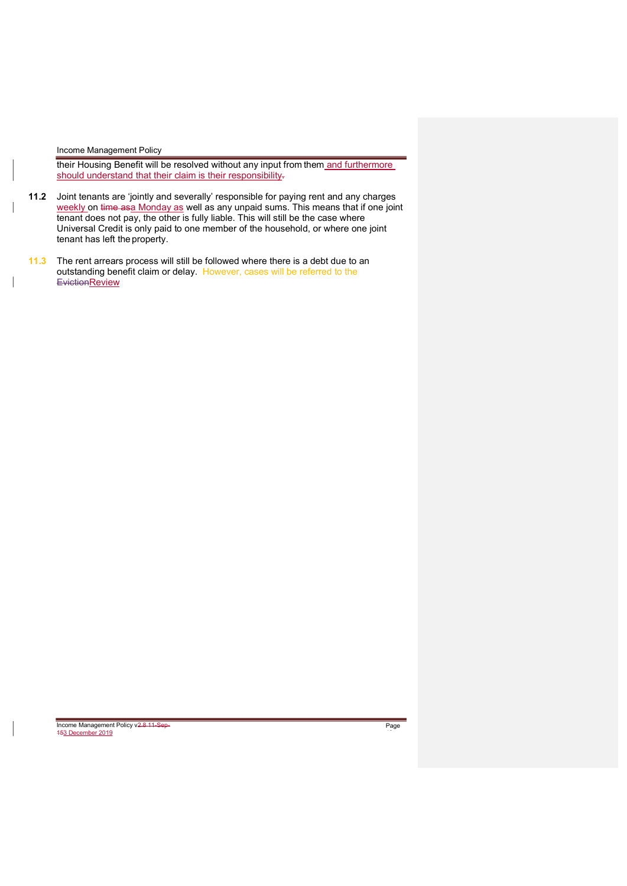their Housing Benefit will be resolved without any input from them and furthermore should understand that their claim is their responsibility-

- 11.2 Joint tenants are 'jointly and severally' responsible for paying rent and any charges weekly on time asa Monday as well as any unpaid sums. This means that if one joint tenant does not pay, the other is fully liable. This will still be the case where Universal Credit is only paid to one member of the household, or where one joint tenant has left the property.
- 11.3 The rent arrears process will still be followed where there is a debt due to an outstanding benefit claim or delay. However, cases will be referred to the **EvictionReview**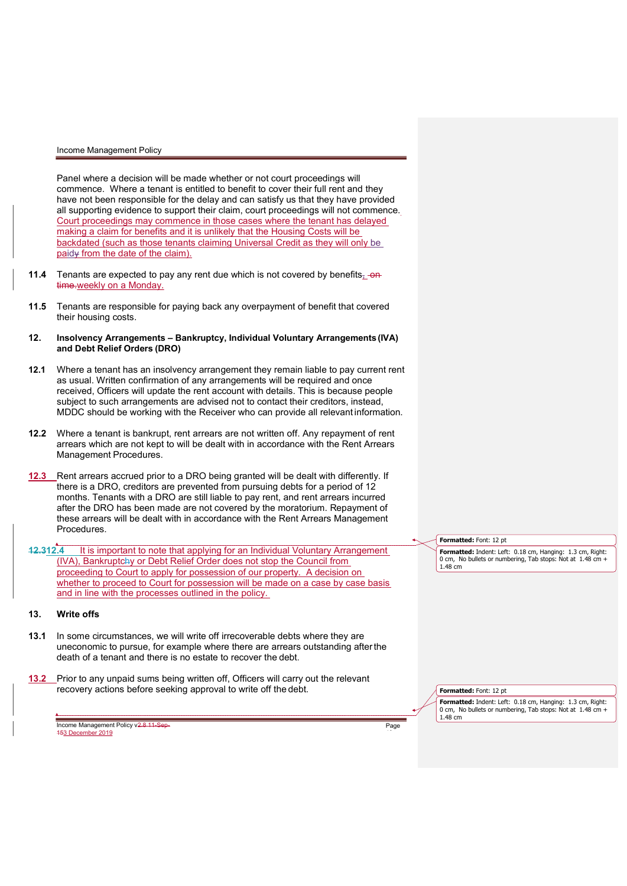Panel where a decision will be made whether or not court proceedings will commence. Where a tenant is entitled to benefit to cover their full rent and they have not been responsible for the delay and can satisfy us that they have provided all supporting evidence to support their claim, court proceedings will not commence. Court proceedings may commence in those cases where the tenant has delayed making a claim for benefits and it is unlikely that the Housing Costs will be backdated (such as those tenants claiming Universal Credit as they will only be paidy from the date of the claim).

- **11.4** Tenants are expected to pay any rent due which is not covered by benefits,  $-\theta$ time.weekly on a Monday.
- 11.5 Tenants are responsible for paying back any overpayment of benefit that covered their housing costs.
- 12. Insolvency Arrangements Bankruptcy, Individual Voluntary Arrangements (IVA) and Debt Relief Orders (DRO)
- 12.1 Where a tenant has an insolvency arrangement they remain liable to pay current rent as usual. Written confirmation of any arrangements will be required and once received, Officers will update the rent account with details. This is because people subject to such arrangements are advised not to contact their creditors, instead, MDDC should be working with the Receiver who can provide all relevant information.
- 12.2 Where a tenant is bankrupt, rent arrears are not written off. Any repayment of rent arrears which are not kept to will be dealt with in accordance with the Rent Arrears Management Procedures.
- 12.3 Rent arrears accrued prior to a DRO being granted will be dealt with differently. If there is a DRO, creditors are prevented from pursuing debts for a period of 12 months. Tenants with a DRO are still liable to pay rent, and rent arrears incurred after the DRO has been made are not covered by the moratorium. Repayment of these arrears will be dealt with in accordance with the Rent Arrears Management Procedures.
- 12.312.4 It is important to note that applying for an Individual Voluntary Arrangement (IVA), Bankruptchy or Debt Relief Order does not stop the Council from proceeding to Court to apply for possession of our property. A decision on whether to proceed to Court for possession will be made on a case by case basis and in line with the processes outlined in the policy.

# 13. Write offs

- 13.1 In some circumstances, we will write off irrecoverable debts where they are uneconomic to pursue, for example where there are arrears outstanding after the death of a tenant and there is no estate to recover the debt.
- 13.2 Prior to any unpaid sums being written off, Officers will carry out the relevant recovery actions before seeking approval to write off the debt.

Income Management Policy v2.8 11-Sep 153 December 2019

Formatted: Font: 12 pt

**Formatted:** Indent: Left: 0.18 cm, Hanging: 1.3 cm, Right: 0 cm, No bullets or numbering, Tab stops: Not at 1.48 cm + 1.48 cm

Formatted: Font: 12 pt

Page

Formatted: Indent: Left: 0.18 cm, Hanging: 1.3 cm, Right: 0 cm, No bullets or numbering, Tab stops: Not at 1.48 cm + 1.48 cm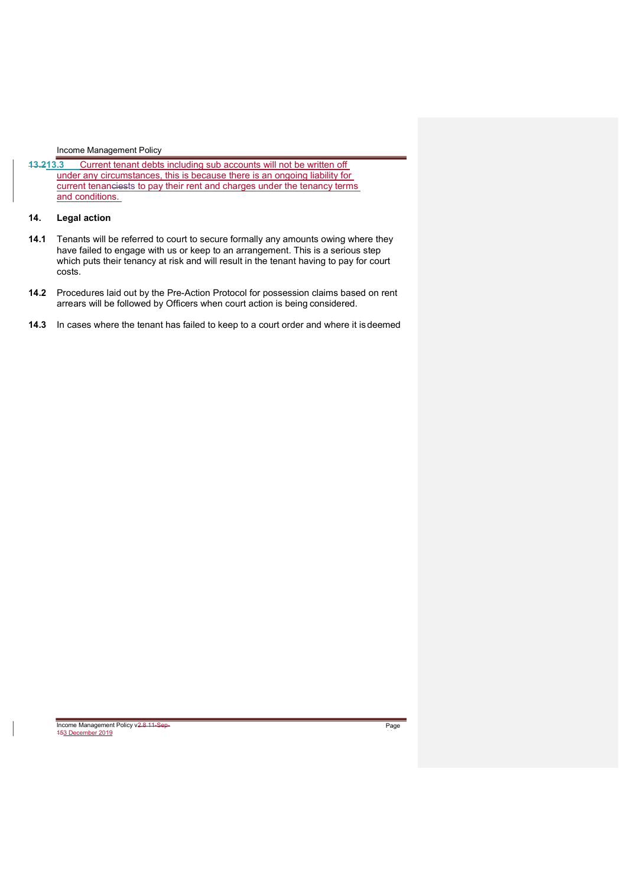13.213.3 Current tenant debts including sub accounts will not be written off under any circumstances, this is because there is an ongoing liability for current tenanciests to pay their rent and charges under the tenancy terms and conditions.

# 14. Legal action

- 14.1 Tenants will be referred to court to secure formally any amounts owing where they have failed to engage with us or keep to an arrangement. This is a serious step which puts their tenancy at risk and will result in the tenant having to pay for court costs.
- 14.2 Procedures laid out by the Pre-Action Protocol for possession claims based on rent arrears will be followed by Officers when court action is being considered.
- 14.3 In cases where the tenant has failed to keep to a court order and where it is deemed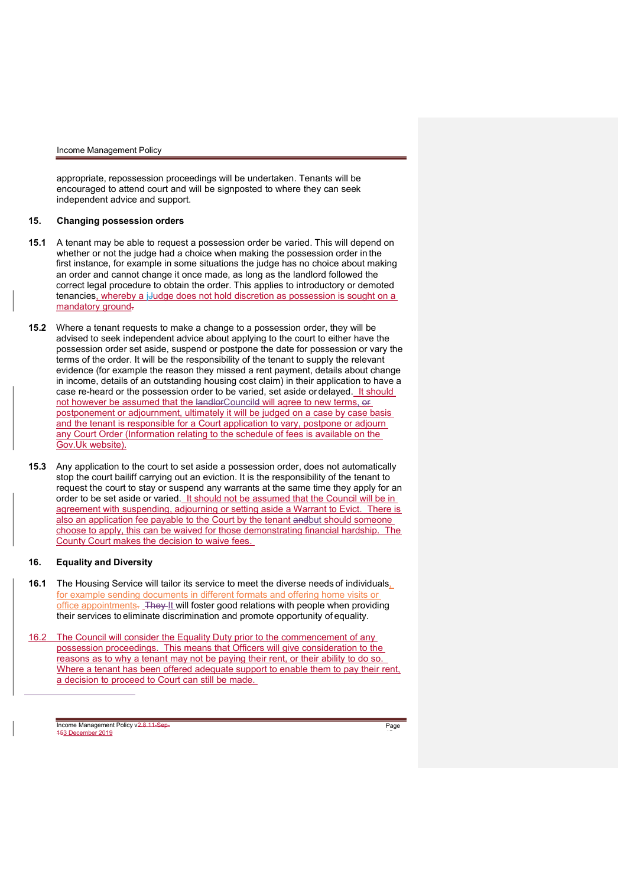appropriate, repossession proceedings will be undertaken. Tenants will be encouraged to attend court and will be signposted to where they can seek independent advice and support.

### 15. Changing possession orders

- 15.1 A tenant may be able to request a possession order be varied. This will depend on whether or not the judge had a choice when making the possession order in the first instance, for example in some situations the judge has no choice about making an order and cannot change it once made, as long as the landlord followed the correct legal procedure to obtain the order. This applies to introductory or demoted tenancies, whereby a j-Judge does not hold discretion as possession is sought on a mandatory ground.
- 15.2 Where a tenant requests to make a change to a possession order, they will be advised to seek independent advice about applying to the court to either have the possession order set aside, suspend or postpone the date for possession or vary the terms of the order. It will be the responsibility of the tenant to supply the relevant evidence (for example the reason they missed a rent payment, details about change in income, details of an outstanding housing cost claim) in their application to have a case re-heard or the possession order to be varied, set aside or delayed. It should not however be assumed that the landlorCouncild will agree to new terms, or postponement or adjournment, ultimately it will be judged on a case by case basis and the tenant is responsible for a Court application to vary, postpone or adjourn any Court Order (Information relating to the schedule of fees is available on the Gov.Uk website).
- 15.3 Any application to the court to set aside a possession order, does not automatically stop the court bailiff carrying out an eviction. It is the responsibility of the tenant to request the court to stay or suspend any warrants at the same time they apply for an order to be set aside or varied. It should not be assumed that the Council will be in agreement with suspending, adjourning or setting aside a Warrant to Evict. There is also an application fee payable to the Court by the tenant andbut should someone choose to apply, this can be waived for those demonstrating financial hardship. The County Court makes the decision to waive fees.

## 16. Equality and Diversity

 $\overline{a}$ 

- 16.1 The Housing Service will tailor its service to meet the diverse needs of individuals, for example sending documents in different formats and offering home visits or office appointments. They It will foster good relations with people when providing their services to eliminate discrimination and promote opportunity of equality.
- 16.2 The Council will consider the Equality Duty prior to the commencement of any possession proceedings. This means that Officers will give consideration to the reasons as to why a tenant may not be paying their rent, or their ability to do so. Where a tenant has been offered adequate support to enable them to pay their rent, a decision to proceed to Court can still be made.